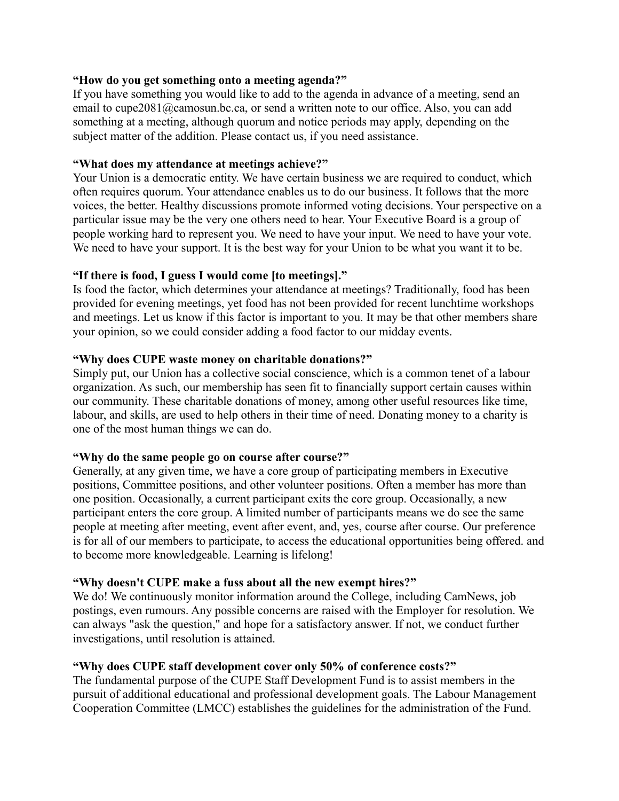## **"How do you get something onto a meeting agenda?"**

If you have something you would like to add to the agenda in advance of a meeting, send an email to cupe2081@camosun.bc.ca, or send a written note to our office. Also, you can add something at a meeting, although quorum and notice periods may apply, depending on the subject matter of the addition. Please contact us, if you need assistance.

#### **"What does my attendance at meetings achieve?"**

Your Union is a democratic entity. We have certain business we are required to conduct, which often requires quorum. Your attendance enables us to do our business. It follows that the more voices, the better. Healthy discussions promote informed voting decisions. Your perspective on a particular issue may be the very one others need to hear. Your Executive Board is a group of people working hard to represent you. We need to have your input. We need to have your vote. We need to have your support. It is the best way for your Union to be what you want it to be.

## **"If there is food, I guess I would come [to meetings]."**

Is food the factor, which determines your attendance at meetings? Traditionally, food has been provided for evening meetings, yet food has not been provided for recent lunchtime workshops and meetings. Let us know if this factor is important to you. It may be that other members share your opinion, so we could consider adding a food factor to our midday events.

#### **"Why does CUPE waste money on charitable donations?"**

Simply put, our Union has a collective social conscience, which is a common tenet of a labour organization. As such, our membership has seen fit to financially support certain causes within our community. These charitable donations of money, among other useful resources like time, labour, and skills, are used to help others in their time of need. Donating money to a charity is one of the most human things we can do.

#### **"Why do the same people go on course after course?"**

Generally, at any given time, we have a core group of participating members in Executive positions, Committee positions, and other volunteer positions. Often a member has more than one position. Occasionally, a current participant exits the core group. Occasionally, a new participant enters the core group. A limited number of participants means we do see the same people at meeting after meeting, event after event, and, yes, course after course. Our preference is for all of our members to participate, to access the educational opportunities being offered. and to become more knowledgeable. Learning is lifelong!

## **"Why doesn't CUPE make a fuss about all the new exempt hires?"**

We do! We continuously monitor information around the College, including CamNews, job postings, even rumours. Any possible concerns are raised with the Employer for resolution. We can always "ask the question," and hope for a satisfactory answer. If not, we conduct further investigations, until resolution is attained.

## **"Why does CUPE staff development cover only 50% of conference costs?"**

The fundamental purpose of the CUPE Staff Development Fund is to assist members in the pursuit of additional educational and professional development goals. The Labour Management Cooperation Committee (LMCC) establishes the guidelines for the administration of the Fund.